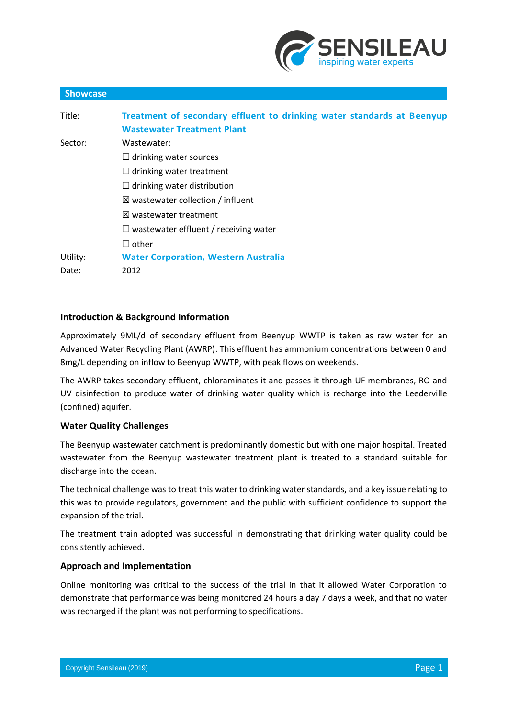

| <b>Showcase</b> |                                                                        |
|-----------------|------------------------------------------------------------------------|
| Title:          | Treatment of secondary effluent to drinking water standards at Beenyup |
|                 | <b>Wastewater Treatment Plant</b>                                      |
| Sector:         | Wastewater:                                                            |
|                 | $\Box$ drinking water sources                                          |
|                 | $\Box$ drinking water treatment                                        |
|                 | $\Box$ drinking water distribution                                     |
|                 | $\boxtimes$ wastewater collection / influent                           |
|                 | $\boxtimes$ wastewater treatment                                       |
|                 | $\Box$ wastewater effluent / receiving water                           |
|                 | $\Box$ other                                                           |
| Utility:        | <b>Water Corporation, Western Australia</b>                            |
| Date:           | 2012                                                                   |
|                 |                                                                        |

# **Introduction & Background Information**

Approximately 9ML/d of secondary effluent from Beenyup WWTP is taken as raw water for an Advanced Water Recycling Plant (AWRP). This effluent has ammonium concentrations between 0 and 8mg/L depending on inflow to Beenyup WWTP, with peak flows on weekends.

The AWRP takes secondary effluent, chloraminates it and passes it through UF membranes, RO and UV disinfection to produce water of drinking water quality which is recharge into the Leederville (confined) aquifer.

### **Water Quality Challenges**

The Beenyup wastewater catchment is predominantly domestic but with one major hospital. Treated wastewater from the Beenyup wastewater treatment plant is treated to a standard suitable for discharge into the ocean.

The technical challenge was to treat this water to drinking water standards, and a key issue relating to this was to provide regulators, government and the public with sufficient confidence to support the expansion of the trial.

The treatment train adopted was successful in demonstrating that drinking water quality could be consistently achieved.

## **Approach and Implementation**

Online monitoring was critical to the success of the trial in that it allowed Water Corporation to demonstrate that performance was being monitored 24 hours a day 7 days a week, and that no water was recharged if the plant was not performing to specifications.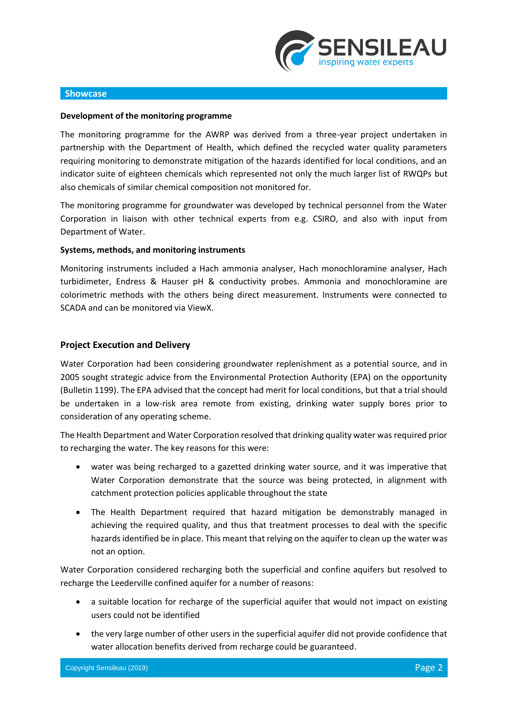

#### **Showcase**

#### **Development of the monitoring programme**

The monitoring programme for the AWRP was derived from a three-year project undertaken in partnership with the Department of Health, which defined the recycled water quality parameters requiring monitoring to demonstrate mitigation of the hazards identified for local conditions, and an indicator suite of eighteen chemicals which represented not only the much larger list of RWQPs but also chemicals of similar chemical composition not monitored for.

The monitoring programme for groundwater was developed by technical personnel from the Water Corporation in liaison with other technical experts from e.g. CSIRO, and also with input from Department of Water.

#### **Systems, methods, and monitoring instruments**

Monitoring instruments included a Hach ammonia analyser, Hach monochloramine analyser, Hach turbidimeter, Endress & Hauser pH & conductivity probes. Ammonia and monochloramine are colorimetric methods with the others being direct measurement. Instruments were connected to SCADA and can be monitored via ViewX.

### **Project Execution and Delivery**

Water Corporation had been considering groundwater replenishment as a potential source, and in 2005 sought strategic advice from the Environmental Protection Authority (EPA) on the opportunity (Bulletin 1199). The EPA advised that the concept had merit for local conditions, but that a trial should be undertaken in a low-risk area remote from existing, drinking water supply bores prior to consideration of any operating scheme.

The Health Department and Water Corporation resolved that drinking quality water was required prior to recharging the water. The key reasons for this were:

- water was being recharged to a gazetted drinking water source, and it was imperative that Water Corporation demonstrate that the source was being protected, in alignment with catchment protection policies applicable throughout the state
- The Health Department required that hazard mitigation be demonstrably managed in achieving the required quality, and thus that treatment processes to deal with the specific hazards identified be in place. This meant that relying on the aquifer to clean up the water was not an option.

Water Corporation considered recharging both the superficial and confine aquifers but resolved to recharge the Leederville confined aquifer for a number of reasons:

- a suitable location for recharge of the superficial aquifer that would not impact on existing users could not be identified
- the very large number of other users in the superficial aquifer did not provide confidence that water allocation benefits derived from recharge could be guaranteed.